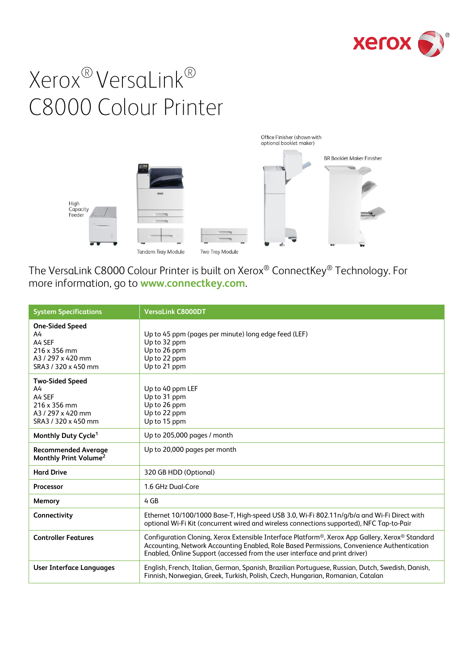



The VersaLink C8000 Colour Printer is built on Xerox® ConnectKey® Technology. For more information, go to **[www.connectkey.com](http://www.connectkey.com/)**.

| <b>System Specifications</b>                                                                     | <b>VersaLink C8000DT</b>                                                                                                                                                                                                                                                                  |
|--------------------------------------------------------------------------------------------------|-------------------------------------------------------------------------------------------------------------------------------------------------------------------------------------------------------------------------------------------------------------------------------------------|
| <b>One-Sided Speed</b><br>A4<br>A4 SEF<br>216 x 356 mm<br>A3/297 x 420 mm<br>SRA3 / 320 x 450 mm | Up to 45 ppm (pages per minute) long edge feed (LEF)<br>Up to 32 ppm<br>Up to 26 ppm<br>Up to 22 ppm<br>Up to 21 ppm                                                                                                                                                                      |
| <b>Two-Sided Speed</b><br>A4<br>A4 SEF<br>216 x 356 mm<br>A3/297 x 420 mm<br>SRA3 / 320 x 450 mm | Up to 40 ppm LEF<br>Up to 31 ppm<br>Up to 26 ppm<br>Up to 22 ppm<br>Up to 15 ppm                                                                                                                                                                                                          |
| Monthly Duty Cycle <sup>1</sup>                                                                  | Up to 205,000 pages / month                                                                                                                                                                                                                                                               |
| <b>Recommended Average</b><br>Monthly Print Volume <sup>2</sup>                                  | Up to 20,000 pages per month                                                                                                                                                                                                                                                              |
| <b>Hard Drive</b>                                                                                | 320 GB HDD (Optional)                                                                                                                                                                                                                                                                     |
| Processor                                                                                        | 1.6 GHz Dual-Core                                                                                                                                                                                                                                                                         |
| Memory                                                                                           | 4 GB                                                                                                                                                                                                                                                                                      |
| Connectivity                                                                                     | Ethernet 10/100/1000 Base-T, High-speed USB 3.0, Wi-Fi 802.11n/g/b/a and Wi-Fi Direct with<br>optional Wi-Fi Kit (concurrent wired and wireless connections supported), NFC Tap-to-Pair                                                                                                   |
| <b>Controller Features</b>                                                                       | Configuration Cloning, Xerox Extensible Interface Platform <sup>®</sup> , Xerox App Gallery, Xerox® Standard<br>Accounting, Network Accounting Enabled, Role Based Permissions, Convenience Authentication<br>Enabled, Online Support (accessed from the user interface and print driver) |
| <b>User Interface Languages</b>                                                                  | English, French, Italian, German, Spanish, Brazilian Portuguese, Russian, Dutch, Swedish, Danish,<br>Finnish, Norwegian, Greek, Turkish, Polish, Czech, Hungarian, Romanian, Catalan                                                                                                      |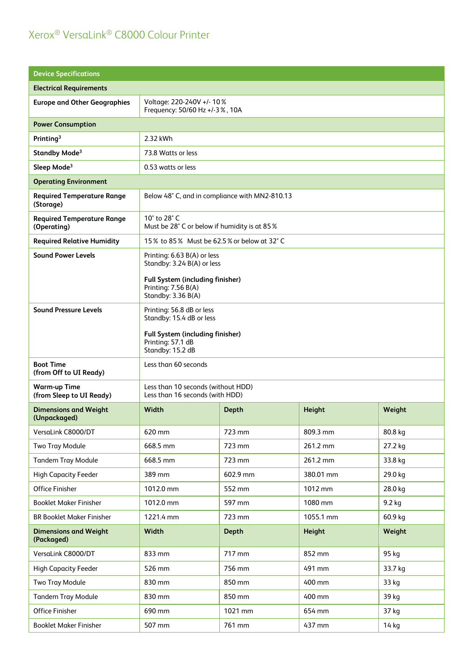| <b>Device Specifications</b>                     |                                                                                                                                            |                                                |           |         |
|--------------------------------------------------|--------------------------------------------------------------------------------------------------------------------------------------------|------------------------------------------------|-----------|---------|
| <b>Electrical Requirements</b>                   |                                                                                                                                            |                                                |           |         |
| <b>Europe and Other Geographies</b>              | Voltage: 220-240V +/- 10%<br>Frequency: 50/60 Hz +/-3 %, 10A                                                                               |                                                |           |         |
| <b>Power Consumption</b>                         |                                                                                                                                            |                                                |           |         |
| Printing <sup>3</sup>                            | 2.32 kWh                                                                                                                                   |                                                |           |         |
| Standby Mode <sup>3</sup>                        | 73.8 Watts or less                                                                                                                         |                                                |           |         |
| Sleep Mode <sup>3</sup>                          | 0.53 watts or less                                                                                                                         |                                                |           |         |
| <b>Operating Environment</b>                     |                                                                                                                                            |                                                |           |         |
| <b>Required Temperature Range</b><br>(Storage)   |                                                                                                                                            | Below 48° C, and in compliance with MN2-810.13 |           |         |
| <b>Required Temperature Range</b><br>(Operating) | 10° to 28° C<br>Must be 28° C or below if humidity is at 85%                                                                               |                                                |           |         |
| <b>Required Relative Humidity</b>                | 15% to 85% Must be 62.5% or below at 32°C                                                                                                  |                                                |           |         |
| <b>Sound Power Levels</b>                        | Printing: 6.63 B(A) or less<br>Standby: 3.24 B(A) or less<br>Full System (including finisher)<br>Printing: 7.56 B(A)<br>Standby: 3.36 B(A) |                                                |           |         |
| <b>Sound Pressure Levels</b>                     | Printing: 56.8 dB or less<br>Standby: 15.4 dB or less<br>Full System (including finisher)<br>Printing: 57.1 dB<br>Standby: 15.2 dB         |                                                |           |         |
| <b>Boot Time</b><br>(from Off to UI Ready)       | Less than 60 seconds                                                                                                                       |                                                |           |         |
| <b>Warm-up Time</b><br>(from Sleep to UI Ready)  | Less than 10 seconds (without HDD)<br>Less than 16 seconds (with HDD)                                                                      |                                                |           |         |
| <b>Dimensions and Weight</b><br>(Unpackaged)     | Width                                                                                                                                      | <b>Depth</b>                                   | Height    | Weight  |
| VersaLink C8000/DT                               | 620 mm                                                                                                                                     | 723 mm                                         | 809.3 mm  | 80.8 kg |
| <b>Two Tray Module</b>                           | 668.5 mm                                                                                                                                   | 723 mm                                         | 261.2 mm  | 27.2 kg |
| <b>Tandem Tray Module</b>                        | 668.5 mm                                                                                                                                   | 723 mm                                         | 261.2 mm  | 33.8 kg |
| <b>High Capacity Feeder</b>                      | 389 mm                                                                                                                                     | 602.9 mm                                       | 380.01 mm | 29.0 kg |
| Office Finisher                                  | 1012.0 mm                                                                                                                                  | 552 mm                                         | 1012 mm   | 28.0 kg |
| <b>Booklet Maker Finisher</b>                    | 1012.0 mm                                                                                                                                  | 597 mm                                         | 1080 mm   | 9.2 kg  |
| <b>BR Booklet Maker Finisher</b>                 | 1221.4 mm                                                                                                                                  | 723 mm                                         | 1055.1 mm | 60.9 kg |
| <b>Dimensions and Weight</b><br>(Packaged)       | Width                                                                                                                                      | <b>Depth</b>                                   | Height    | Weight  |
| VersaLink C8000/DT                               | 833 mm                                                                                                                                     | 717 mm                                         | 852 mm    | 95 kg   |
| <b>High Capacity Feeder</b>                      | 526 mm                                                                                                                                     | 756 mm                                         | 491 mm    | 33.7 kg |
| <b>Two Tray Module</b>                           | 830 mm                                                                                                                                     | 850 mm                                         | 400 mm    | 33 kg   |
| <b>Tandem Tray Module</b>                        | 830 mm                                                                                                                                     | 850 mm                                         | 400 mm    | 39 kg   |
| Office Finisher                                  | 690 mm                                                                                                                                     | 1021 mm                                        | 654 mm    | 37 kg   |
| <b>Booklet Maker Finisher</b>                    | 507 mm                                                                                                                                     | 761 mm                                         | 437 mm    | 14 kg   |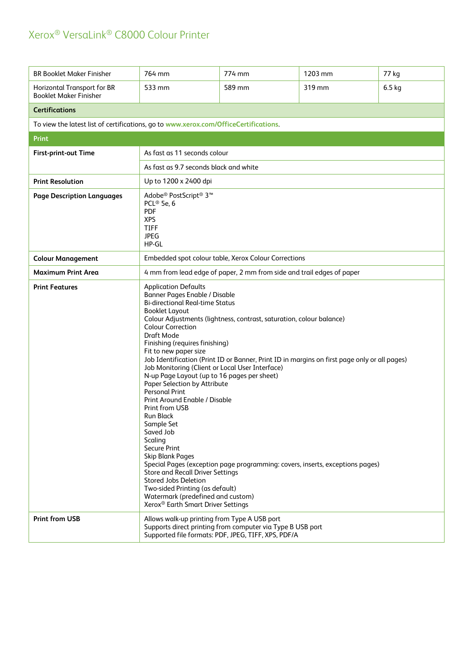| <b>BR Booklet Maker Finisher</b>                                                     | 764 mm                                                                                                                                                                                                                                                                                                                                                                                                                                                                                                                                                                                                                                                                                                                                                                                                                                                                                                                                                                                                                                                                                              | 774 mm | 1203 mm | 77 kg    |
|--------------------------------------------------------------------------------------|-----------------------------------------------------------------------------------------------------------------------------------------------------------------------------------------------------------------------------------------------------------------------------------------------------------------------------------------------------------------------------------------------------------------------------------------------------------------------------------------------------------------------------------------------------------------------------------------------------------------------------------------------------------------------------------------------------------------------------------------------------------------------------------------------------------------------------------------------------------------------------------------------------------------------------------------------------------------------------------------------------------------------------------------------------------------------------------------------------|--------|---------|----------|
| Horizontal Transport for BR<br><b>Booklet Maker Finisher</b>                         | 533 mm                                                                                                                                                                                                                                                                                                                                                                                                                                                                                                                                                                                                                                                                                                                                                                                                                                                                                                                                                                                                                                                                                              | 589 mm | 319 mm  | $6.5$ kg |
| <b>Certifications</b>                                                                |                                                                                                                                                                                                                                                                                                                                                                                                                                                                                                                                                                                                                                                                                                                                                                                                                                                                                                                                                                                                                                                                                                     |        |         |          |
| To view the latest list of certifications, go to www.xerox.com/OfficeCertifications. |                                                                                                                                                                                                                                                                                                                                                                                                                                                                                                                                                                                                                                                                                                                                                                                                                                                                                                                                                                                                                                                                                                     |        |         |          |
| <b>Print</b>                                                                         |                                                                                                                                                                                                                                                                                                                                                                                                                                                                                                                                                                                                                                                                                                                                                                                                                                                                                                                                                                                                                                                                                                     |        |         |          |
| First-print-out Time                                                                 | As fast as 11 seconds colour                                                                                                                                                                                                                                                                                                                                                                                                                                                                                                                                                                                                                                                                                                                                                                                                                                                                                                                                                                                                                                                                        |        |         |          |
|                                                                                      | As fast as 9.7 seconds black and white                                                                                                                                                                                                                                                                                                                                                                                                                                                                                                                                                                                                                                                                                                                                                                                                                                                                                                                                                                                                                                                              |        |         |          |
| <b>Print Resolution</b>                                                              | Up to 1200 x 2400 dpi                                                                                                                                                                                                                                                                                                                                                                                                                                                                                                                                                                                                                                                                                                                                                                                                                                                                                                                                                                                                                                                                               |        |         |          |
| <b>Page Description Languages</b>                                                    | Adobe <sup>®</sup> PostScript <sup>®</sup> 3 <sup>™</sup><br>PCL <sup>®</sup> 5e, 6<br><b>PDF</b><br><b>XPS</b><br><b>TIFF</b><br><b>JPEG</b><br>HP-GL                                                                                                                                                                                                                                                                                                                                                                                                                                                                                                                                                                                                                                                                                                                                                                                                                                                                                                                                              |        |         |          |
| <b>Colour Management</b>                                                             |                                                                                                                                                                                                                                                                                                                                                                                                                                                                                                                                                                                                                                                                                                                                                                                                                                                                                                                                                                                                                                                                                                     |        |         |          |
| <b>Maximum Print Area</b>                                                            |                                                                                                                                                                                                                                                                                                                                                                                                                                                                                                                                                                                                                                                                                                                                                                                                                                                                                                                                                                                                                                                                                                     |        |         |          |
| <b>Print Features</b>                                                                | Embedded spot colour table, Xerox Colour Corrections<br>4 mm from lead edge of paper, 2 mm from side and trail edges of paper<br><b>Application Defaults</b><br>Banner Pages Enable / Disable<br><b>Bi-directional Real-time Status</b><br><b>Booklet Layout</b><br>Colour Adjustments (lightness, contrast, saturation, colour balance)<br><b>Colour Correction</b><br>Draft Mode<br>Finishing (requires finishing)<br>Fit to new paper size<br>Job Identification (Print ID or Banner, Print ID in margins on first page only or all pages)<br>Job Monitoring (Client or Local User Interface)<br>N-up Page Layout (up to 16 pages per sheet)<br>Paper Selection by Attribute<br><b>Personal Print</b><br>Print Around Enable / Disable<br>Print from USB<br><b>Run Black</b><br>Sample Set<br>Saved Job<br>Scaling<br>Secure Print<br><b>Skip Blank Pages</b><br>Special Pages (exception page programming: covers, inserts, exceptions pages)<br><b>Store and Recall Driver Settings</b><br><b>Stored Jobs Deletion</b><br>Two-sided Printing (as default)<br>Watermark (predefined and custom) |        |         |          |
| <b>Print from USB</b>                                                                | Allows walk-up printing from Type A USB port<br>Supports direct printing from computer via Type B USB port<br>Supported file formats: PDF, JPEG, TIFF, XPS, PDF/A                                                                                                                                                                                                                                                                                                                                                                                                                                                                                                                                                                                                                                                                                                                                                                                                                                                                                                                                   |        |         |          |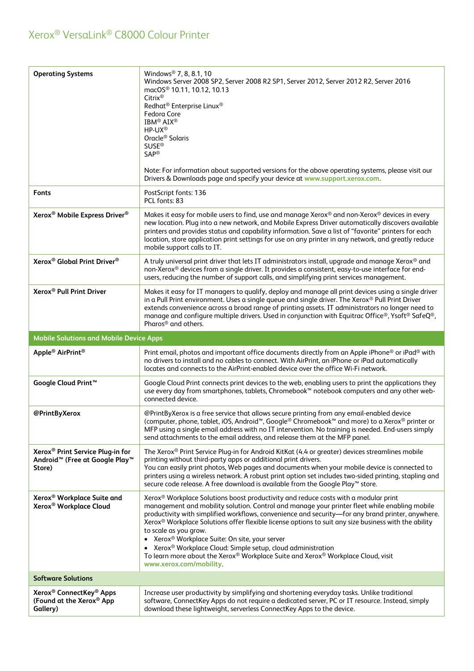| <b>Operating Systems</b>                                                                                         | Windows <sup>®</sup> 7, 8, 8.1, 10<br>Windows Server 2008 SP2, Server 2008 R2 SP1, Server 2012, Server 2012 R2, Server 2016<br>macOS <sup>®</sup> 10.11, 10.12, 10.13<br>$Citrix^{\circledR}$<br>Redhat <sup>®</sup> Enterprise Linux <sup>®</sup><br>Fedora Core<br><b>IBM® AIX®</b><br>HP-UX <sup>®</sup><br>Oracle <sup>®</sup> Solaris<br><b>SUSE®</b><br><b>SAP®</b><br>Note: For information about supported versions for the above operating systems, please visit our<br>Drivers & Downloads page and specify your device at www.support.xerox.com.                                                                                                                                               |
|------------------------------------------------------------------------------------------------------------------|-----------------------------------------------------------------------------------------------------------------------------------------------------------------------------------------------------------------------------------------------------------------------------------------------------------------------------------------------------------------------------------------------------------------------------------------------------------------------------------------------------------------------------------------------------------------------------------------------------------------------------------------------------------------------------------------------------------|
| <b>Fonts</b>                                                                                                     | PostScript fonts: 136<br>PCL fonts: 83                                                                                                                                                                                                                                                                                                                                                                                                                                                                                                                                                                                                                                                                    |
| Xerox <sup>®</sup> Mobile Express Driver <sup>®</sup>                                                            | Makes it easy for mobile users to find, use and manage Xerox® and non-Xerox® devices in every<br>new location. Plug into a new network, and Mobile Express Driver automatically discovers available<br>printers and provides status and capability information. Save a list of "favorite" printers for each<br>location, store application print settings for use on any printer in any network, and greatly reduce<br>mobile support calls to IT.                                                                                                                                                                                                                                                        |
| Xerox <sup>®</sup> Global Print Driver <sup>®</sup>                                                              | A truly universal print driver that lets IT administrators install, upgrade and manage Xerox® and<br>non-Xerox® devices from a single driver. It provides a consistent, easy-to-use interface for end-<br>users, reducing the number of support calls, and simplifying print services management.                                                                                                                                                                                                                                                                                                                                                                                                         |
| Xerox <sup>®</sup> Pull Print Driver                                                                             | Makes it easy for IT managers to qualify, deploy and manage all print devices using a single driver<br>in a Pull Print environment. Uses a single queue and single driver. The Xerox® Pull Print Driver<br>extends convenience across a broad range of printing assets. IT administrators no longer need to<br>manage and configure multiple drivers. Used in conjunction with Equitrac Office®, Ysoft® SafeQ®,<br>Pharos <sup>®</sup> and others.                                                                                                                                                                                                                                                        |
| <b>Mobile Solutions and Mobile Device Apps</b>                                                                   |                                                                                                                                                                                                                                                                                                                                                                                                                                                                                                                                                                                                                                                                                                           |
| Apple <sup>®</sup> AirPrint <sup>®</sup>                                                                         | Print email, photos and important office documents directly from an Apple iPhone® or iPad® with<br>no drivers to install and no cables to connect. With AirPrint, an iPhone or iPad automatically<br>locates and connects to the AirPrint-enabled device over the office Wi-Fi network.                                                                                                                                                                                                                                                                                                                                                                                                                   |
| Google Cloud Print <sup>™</sup>                                                                                  | Google Cloud Print connects print devices to the web, enabling users to print the applications they<br>use every day from smartphones, tablets, Chromebook <sup>™</sup> notebook computers and any other web-<br>connected device.                                                                                                                                                                                                                                                                                                                                                                                                                                                                        |
| @PrintByXerox                                                                                                    | @PrintByXerox is a free service that allows secure printing from any email-enabled device<br>(computer, phone, tablet, iOS, Android <sup>™</sup> , Google <sup>®</sup> Chromebook <sup>™</sup> and more) to a Xerox <sup>®</sup> printer or<br>MFP using a single email address with no IT intervention. No training is needed. End-users simply<br>send attachments to the email address, and release them at the MFP panel.                                                                                                                                                                                                                                                                             |
| Xerox <sup>®</sup> Print Service Plug-in for<br>Android <sup>™</sup> (Free at Google Play <sup>™</sup><br>Store) | The Xerox® Print Service Plug-in for Android KitKat (4.4 or greater) devices streamlines mobile<br>printing without third-party apps or additional print drivers.<br>You can easily print photos, Web pages and documents when your mobile device is connected to<br>printers using a wireless network. A robust print option set includes two-sided printing, stapling and<br>secure code release. A free download is available from the Google Play™ store.                                                                                                                                                                                                                                             |
| Xerox <sup>®</sup> Workplace Suite and<br>Xerox <sup>®</sup> Workplace Cloud                                     | Xerox <sup>®</sup> Workplace Solutions boost productivity and reduce costs with a modular print<br>management and mobility solution. Control and manage your printer fleet while enabling mobile<br>productivity with simplified workflows, convenience and security-for any brand printer, anywhere.<br>Xerox <sup>®</sup> Workplace Solutions offer flexible license options to suit any size business with the ability<br>to scale as you grow.<br>• Xerox <sup>®</sup> Workplace Suite: On site, your server<br>Xerox <sup>®</sup> Workplace Cloud: Simple setup, cloud administration<br>To learn more about the Xerox® Workplace Suite and Xerox® Workplace Cloud, visit<br>www.xerox.com/mobility. |
| <b>Software Solutions</b>                                                                                        |                                                                                                                                                                                                                                                                                                                                                                                                                                                                                                                                                                                                                                                                                                           |
| Xerox <sup>®</sup> ConnectKey <sup>®</sup> Apps<br>(Found at the Xerox® App<br>Gallery)                          | Increase user productivity by simplifying and shortening everyday tasks. Unlike traditional<br>software, ConnectKey Apps do not require a dedicated server, PC or IT resource. Instead, simply<br>download these lightweight, serverless ConnectKey Apps to the device.                                                                                                                                                                                                                                                                                                                                                                                                                                   |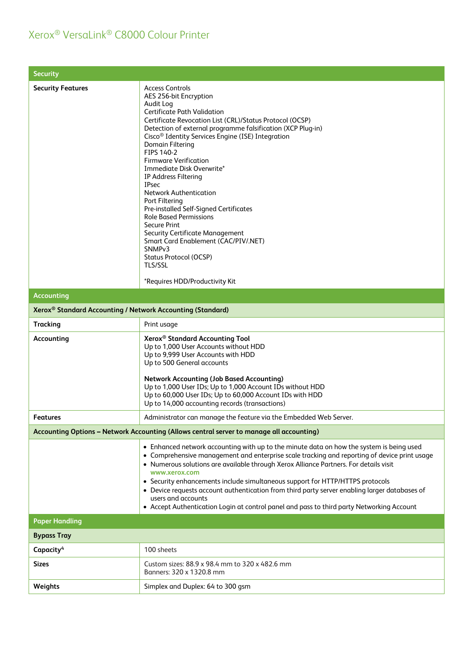| <b>Access Controls</b><br><b>Security Features</b><br>AES 256-bit Encryption<br>Audit Log<br><b>Certificate Path Validation</b><br>Certificate Revocation List (CRL)/Status Protocol (OCSP)<br>Detection of external programme falsification (XCP Plug-in)<br>Cisco <sup>®</sup> Identity Services Engine (ISE) Integration<br>Domain Filtering<br>FIPS 140-2<br><b>Firmware Verification</b><br>Immediate Disk Overwrite*<br>IP Address Filtering<br><b>IPsec</b><br><b>Network Authentication</b><br>Port Filtering<br>Pre-installed Self-Signed Certificates<br><b>Role Based Permissions</b><br><b>Secure Print</b><br><b>Security Certificate Management</b><br>Smart Card Enablement (CAC/PIV/.NET)<br>SNMP <sub>v3</sub><br>Status Protocol (OCSP)<br><b>TLS/SSL</b><br>*Requires HDD/Productivity Kit |
|---------------------------------------------------------------------------------------------------------------------------------------------------------------------------------------------------------------------------------------------------------------------------------------------------------------------------------------------------------------------------------------------------------------------------------------------------------------------------------------------------------------------------------------------------------------------------------------------------------------------------------------------------------------------------------------------------------------------------------------------------------------------------------------------------------------|
| <b>Accounting</b>                                                                                                                                                                                                                                                                                                                                                                                                                                                                                                                                                                                                                                                                                                                                                                                             |
| Xerox <sup>®</sup> Standard Accounting / Network Accounting (Standard)                                                                                                                                                                                                                                                                                                                                                                                                                                                                                                                                                                                                                                                                                                                                        |
| <b>Tracking</b><br>Print usage                                                                                                                                                                                                                                                                                                                                                                                                                                                                                                                                                                                                                                                                                                                                                                                |
| Xerox <sup>®</sup> Standard Accounting Tool<br>Accounting<br>Up to 1,000 User Accounts without HDD<br>Up to 9,999 User Accounts with HDD<br>Up to 500 General accounts<br><b>Network Accounting (Job Based Accounting)</b><br>Up to 1,000 User IDs; Up to 1,000 Account IDs without HDD<br>Up to 60,000 User IDs; Up to 60,000 Account IDs with HDD<br>Up to 14,000 accounting records (transactions)                                                                                                                                                                                                                                                                                                                                                                                                         |
| Administrator can manage the feature via the Embedded Web Server.<br><b>Features</b>                                                                                                                                                                                                                                                                                                                                                                                                                                                                                                                                                                                                                                                                                                                          |
| Accounting Options - Network Accounting (Allows central server to manage all accounting)                                                                                                                                                                                                                                                                                                                                                                                                                                                                                                                                                                                                                                                                                                                      |
| • Enhanced network accounting with up to the minute data on how the system is being used<br>• Comprehensive management and enterprise scale tracking and reporting of device print usage<br>• Numerous solutions are available through Xerox Alliance Partners. For details visit<br>www.xerox.com<br>• Security enhancements include simultaneous support for HTTP/HTTPS protocols<br>• Device requests account authentication from third party server enabling larger databases of<br>users and accounts<br>• Accept Authentication Login at control panel and pass to third party Networking Account                                                                                                                                                                                                       |
| <b>Paper Handling</b>                                                                                                                                                                                                                                                                                                                                                                                                                                                                                                                                                                                                                                                                                                                                                                                         |
| <b>Bypass Tray</b>                                                                                                                                                                                                                                                                                                                                                                                                                                                                                                                                                                                                                                                                                                                                                                                            |
| Capacity <sup>4</sup><br>100 sheets                                                                                                                                                                                                                                                                                                                                                                                                                                                                                                                                                                                                                                                                                                                                                                           |
| Custom sizes: 88.9 x 98.4 mm to 320 x 482.6 mm<br>Sizes<br>Banners: 320 x 1320.8 mm                                                                                                                                                                                                                                                                                                                                                                                                                                                                                                                                                                                                                                                                                                                           |
| Weights<br>Simplex and Duplex: 64 to 300 gsm                                                                                                                                                                                                                                                                                                                                                                                                                                                                                                                                                                                                                                                                                                                                                                  |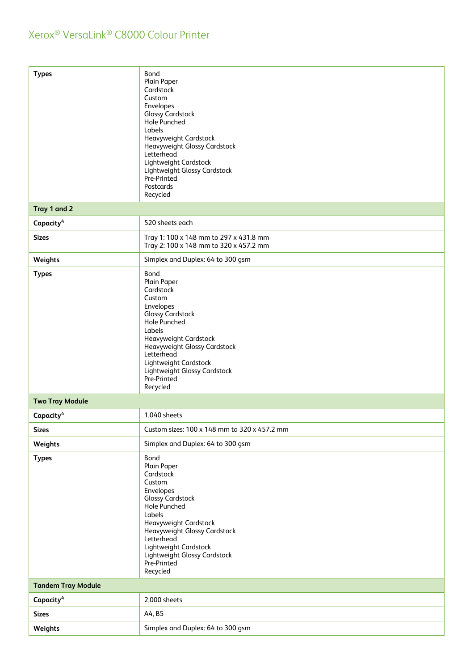| <b>Types</b><br>Tray 1 and 2 | Bond<br>Plain Paper<br>Cardstock<br>Custom<br>Envelopes<br><b>Glossy Cardstock</b><br>Hole Punched<br>Labels<br>Heavyweight Cardstock<br>Heavyweight Glossy Cardstock<br>Letterhead<br>Lightweight Cardstock<br>Lightweight Glossy Cardstock<br>Pre-Printed<br>Postcards<br>Recycled |
|------------------------------|--------------------------------------------------------------------------------------------------------------------------------------------------------------------------------------------------------------------------------------------------------------------------------------|
| Capacity <sup>4</sup>        | 520 sheets each                                                                                                                                                                                                                                                                      |
| <b>Sizes</b>                 | Tray 1: 100 x 148 mm to 297 x 431.8 mm<br>Tray 2: 100 x 148 mm to 320 x 457.2 mm                                                                                                                                                                                                     |
| Weights                      | Simplex and Duplex: 64 to 300 gsm                                                                                                                                                                                                                                                    |
| <b>Types</b>                 | Bond<br>Plain Paper<br>Cardstock<br>Custom<br>Envelopes<br><b>Glossy Cardstock</b><br>Hole Punched<br>Labels<br>Heavyweight Cardstock<br>Heavyweight Glossy Cardstock<br>Letterhead<br>Lightweight Cardstock<br>Lightweight Glossy Cardstock<br>Pre-Printed<br>Recycled              |
| <b>Two Tray Module</b>       |                                                                                                                                                                                                                                                                                      |
| Capacity <sup>4</sup>        | 1,040 sheets                                                                                                                                                                                                                                                                         |
| <b>Sizes</b>                 | Custom sizes: 100 x 148 mm to 320 x 457.2 mm                                                                                                                                                                                                                                         |
| Weights                      | Simplex and Duplex: 64 to 300 gsm                                                                                                                                                                                                                                                    |
| <b>Types</b>                 | Bond<br>Plain Paper<br>Cardstock<br>Custom<br>Envelopes<br><b>Glossy Cardstock</b><br>Hole Punched<br>Labels<br>Heavyweight Cardstock<br>Heavyweight Glossy Cardstock<br>Letterhead<br>Lightweight Cardstock<br>Lightweight Glossy Cardstock<br>Pre-Printed<br>Recycled              |
| <b>Tandem Tray Module</b>    |                                                                                                                                                                                                                                                                                      |
| Capacity <sup>4</sup>        | 2,000 sheets                                                                                                                                                                                                                                                                         |
| <b>Sizes</b>                 | A4, B5                                                                                                                                                                                                                                                                               |
| Weights                      | Simplex and Duplex: 64 to 300 gsm                                                                                                                                                                                                                                                    |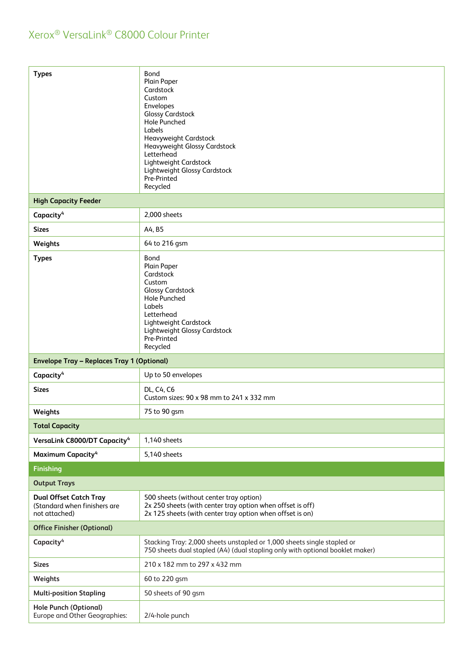| <b>Types</b>                                                                   | Bond<br>Plain Paper<br>Cardstock<br>Custom<br>Envelopes<br><b>Glossy Cardstock</b><br><b>Hole Punched</b><br>Labels<br>Heavyweight Cardstock<br>Heavyweight Glossy Cardstock<br>Letterhead<br>Lightweight Cardstock<br>Lightweight Glossy Cardstock<br>Pre-Printed<br>Recycled |
|--------------------------------------------------------------------------------|--------------------------------------------------------------------------------------------------------------------------------------------------------------------------------------------------------------------------------------------------------------------------------|
| <b>High Capacity Feeder</b>                                                    |                                                                                                                                                                                                                                                                                |
| Capacity <sup>4</sup>                                                          | 2,000 sheets                                                                                                                                                                                                                                                                   |
| <b>Sizes</b>                                                                   | A4, B5                                                                                                                                                                                                                                                                         |
| Weights                                                                        | 64 to 216 gsm                                                                                                                                                                                                                                                                  |
| <b>Types</b>                                                                   | Bond<br>Plain Paper<br>Cardstock<br>Custom<br><b>Glossy Cardstock</b><br><b>Hole Punched</b><br>Labels<br>Letterhead<br>Lightweight Cardstock<br>Lightweight Glossy Cardstock<br>Pre-Printed<br>Recycled                                                                       |
| <b>Envelope Tray - Replaces Tray 1 (Optional)</b>                              |                                                                                                                                                                                                                                                                                |
| Capacity <sup>4</sup>                                                          | Up to 50 envelopes                                                                                                                                                                                                                                                             |
| <b>Sizes</b>                                                                   | DL, C4, C6<br>Custom sizes: 90 x 98 mm to 241 x 332 mm                                                                                                                                                                                                                         |
| Weights                                                                        | 75 to 90 gsm                                                                                                                                                                                                                                                                   |
| <b>Total Capacity</b>                                                          |                                                                                                                                                                                                                                                                                |
| VersaLink C8000/DT Capacity <sup>4</sup>                                       | 1,140 sheets                                                                                                                                                                                                                                                                   |
| Maximum Capacity <sup>4</sup>                                                  | 5,140 sheets                                                                                                                                                                                                                                                                   |
| Finishing                                                                      |                                                                                                                                                                                                                                                                                |
| <b>Output Trays</b>                                                            |                                                                                                                                                                                                                                                                                |
| <b>Dual Offset Catch Tray</b><br>(Standard when finishers are<br>not attached) | 500 sheets (without center tray option)<br>2x 250 sheets (with center tray option when offset is off)<br>2x 125 sheets (with center tray option when offset is on)                                                                                                             |
| <b>Office Finisher (Optional)</b>                                              |                                                                                                                                                                                                                                                                                |
| Capacity <sup>4</sup>                                                          | Stacking Tray: 2,000 sheets unstapled or 1,000 sheets single stapled or<br>750 sheets dual stapled (A4) (dual stapling only with optional booklet maker)                                                                                                                       |
| <b>Sizes</b>                                                                   | 210 x 182 mm to 297 x 432 mm                                                                                                                                                                                                                                                   |
| Weights                                                                        | 60 to 220 gsm                                                                                                                                                                                                                                                                  |
| <b>Multi-position Stapling</b>                                                 | 50 sheets of 90 gsm                                                                                                                                                                                                                                                            |
| <b>Hole Punch (Optional)</b><br>Europe and Other Geographies:                  | 2/4-hole punch                                                                                                                                                                                                                                                                 |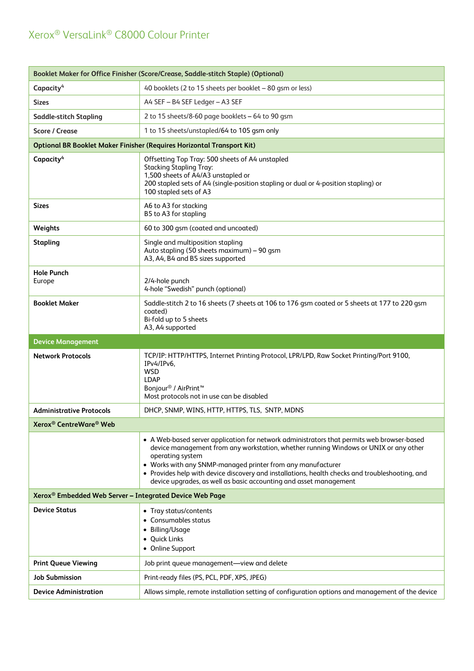| Booklet Maker for Office Finisher (Score/Crease, Saddle-stitch Staple) (Optional) |                                                                                                                                                                                                                                                                                                                                                                                                                                               |  |  |
|-----------------------------------------------------------------------------------|-----------------------------------------------------------------------------------------------------------------------------------------------------------------------------------------------------------------------------------------------------------------------------------------------------------------------------------------------------------------------------------------------------------------------------------------------|--|--|
| Capacity <sup>4</sup>                                                             | 40 booklets (2 to 15 sheets per booklet – 80 gsm or less)                                                                                                                                                                                                                                                                                                                                                                                     |  |  |
| <b>Sizes</b>                                                                      | A4 SEF - B4 SEF Ledger - A3 SEF                                                                                                                                                                                                                                                                                                                                                                                                               |  |  |
| <b>Saddle-stitch Stapling</b>                                                     | 2 to 15 sheets/8-60 page booklets - 64 to 90 gsm                                                                                                                                                                                                                                                                                                                                                                                              |  |  |
| <b>Score / Crease</b>                                                             | 1 to 15 sheets/unstapled/64 to 105 gsm only                                                                                                                                                                                                                                                                                                                                                                                                   |  |  |
|                                                                                   | Optional BR Booklet Maker Finisher (Requires Horizontal Transport Kit)                                                                                                                                                                                                                                                                                                                                                                        |  |  |
| Capacity <sup>4</sup>                                                             | Offsetting Top Tray: 500 sheets of A4 unstapled<br><b>Stacking Stapling Tray:</b><br>1,500 sheets of A4/A3 unstapled or<br>200 stapled sets of A4 (single-position stapling or dual or 4-position stapling) or<br>100 stapled sets of A3                                                                                                                                                                                                      |  |  |
| <b>Sizes</b>                                                                      | A6 to A3 for stacking<br>B5 to A3 for stapling                                                                                                                                                                                                                                                                                                                                                                                                |  |  |
| Weights                                                                           | 60 to 300 gsm (coated and uncoated)                                                                                                                                                                                                                                                                                                                                                                                                           |  |  |
| <b>Stapling</b>                                                                   | Single and multiposition stapling<br>Auto stapling (50 sheets maximum) - 90 qsm<br>A3, A4, B4 and B5 sizes supported                                                                                                                                                                                                                                                                                                                          |  |  |
| <b>Hole Punch</b><br>Europe                                                       | 2/4-hole punch<br>4-hole "Swedish" punch (optional)                                                                                                                                                                                                                                                                                                                                                                                           |  |  |
| <b>Booklet Maker</b>                                                              | Saddle-stitch 2 to 16 sheets (7 sheets at 106 to 176 gsm coated or 5 sheets at 177 to 220 gsm<br>coated)<br>Bi-fold up to 5 sheets<br>A3, A4 supported                                                                                                                                                                                                                                                                                        |  |  |
|                                                                                   |                                                                                                                                                                                                                                                                                                                                                                                                                                               |  |  |
| <b>Device Management</b>                                                          |                                                                                                                                                                                                                                                                                                                                                                                                                                               |  |  |
| <b>Network Protocols</b>                                                          | TCP/IP: HTTP/HTTPS, Internet Printing Protocol, LPR/LPD, Raw Socket Printing/Port 9100,<br>IPv4/IPv6,<br><b>WSD</b><br>LDAP<br>Bonjour <sup>®</sup> / AirPrint <sup>™</sup><br>Most protocols not in use can be disabled                                                                                                                                                                                                                      |  |  |
| <b>Administrative Protocols</b>                                                   | DHCP, SNMP, WINS, HTTP, HTTPS, TLS, SNTP, MDNS                                                                                                                                                                                                                                                                                                                                                                                                |  |  |
| Xerox <sup>®</sup> CentreWare <sup>®</sup> Web                                    |                                                                                                                                                                                                                                                                                                                                                                                                                                               |  |  |
|                                                                                   | • A Web-based server application for network administrators that permits web browser-based<br>device management from any workstation, whether running Windows or UNIX or any other<br>operating system<br>• Works with any SNMP-managed printer from any manufacturer<br>• Provides help with device discovery and installations, health checks and troubleshooting, and<br>device upgrades, as well as basic accounting and asset management |  |  |
| Xerox <sup>®</sup> Embedded Web Server - Integrated Device Web Page               |                                                                                                                                                                                                                                                                                                                                                                                                                                               |  |  |
| <b>Device Status</b>                                                              | • Tray status/contents<br>• Consumables status<br>• Billing/Usage<br>• Quick Links<br>• Online Support                                                                                                                                                                                                                                                                                                                                        |  |  |
| <b>Print Queue Viewing</b>                                                        | Job print queue management-view and delete                                                                                                                                                                                                                                                                                                                                                                                                    |  |  |
| <b>Job Submission</b>                                                             | Print-ready files (PS, PCL, PDF, XPS, JPEG)                                                                                                                                                                                                                                                                                                                                                                                                   |  |  |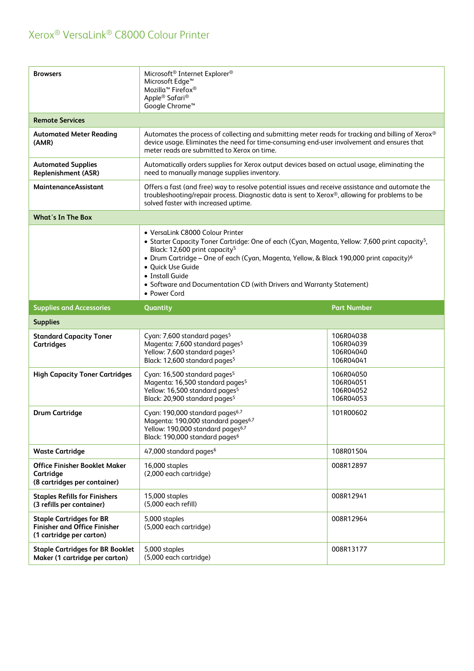| <b>Browsers</b>                                                                                    | Microsoft <sup>®</sup> Internet Explorer <sup>®</sup><br>Microsoft Edge <sup>™</sup><br>Mozilla <sup>™</sup> Firefox®<br>Apple <sup>®</sup> Safari <sup>®</sup><br>Google Chrome <sup>™</sup>                                                                                                                                                                                                                                        |                                                  |  |
|----------------------------------------------------------------------------------------------------|--------------------------------------------------------------------------------------------------------------------------------------------------------------------------------------------------------------------------------------------------------------------------------------------------------------------------------------------------------------------------------------------------------------------------------------|--------------------------------------------------|--|
| <b>Remote Services</b>                                                                             |                                                                                                                                                                                                                                                                                                                                                                                                                                      |                                                  |  |
| <b>Automated Meter Reading</b><br>(AMR)                                                            | Automates the process of collecting and submitting meter reads for tracking and billing of Xerox®<br>device usage. Eliminates the need for time-consuming end-user involvement and ensures that<br>meter reads are submitted to Xerox on time.                                                                                                                                                                                       |                                                  |  |
| <b>Automated Supplies</b><br><b>Replenishment (ASR)</b>                                            | Automatically orders supplies for Xerox output devices based on actual usage, eliminating the<br>need to manually manage supplies inventory.                                                                                                                                                                                                                                                                                         |                                                  |  |
| MaintenanceAssistant                                                                               | Offers a fast (and free) way to resolve potential issues and receive assistance and automate the<br>troubleshooting/repair process. Diagnostic data is sent to Xerox®, allowing for problems to be<br>solved faster with increased uptime.                                                                                                                                                                                           |                                                  |  |
| <b>What's In The Box</b>                                                                           |                                                                                                                                                                                                                                                                                                                                                                                                                                      |                                                  |  |
|                                                                                                    | • VersaLink C8000 Colour Printer<br>• Starter Capacity Toner Cartridge: One of each (Cyan, Magenta, Yellow: 7,600 print capacity <sup>5</sup> ,<br>Black: 12,600 print capacity <sup>5</sup><br>· Drum Cartridge - One of each (Cyan, Magenta, Yellow, & Black 190,000 print capacity) <sup>6</sup><br>• Quick Use Guide<br>• Install Guide<br>• Software and Documentation CD (with Drivers and Warranty Statement)<br>• Power Cord |                                                  |  |
| <b>Supplies and Accessories</b>                                                                    | Quantity                                                                                                                                                                                                                                                                                                                                                                                                                             | <b>Part Number</b>                               |  |
|                                                                                                    |                                                                                                                                                                                                                                                                                                                                                                                                                                      |                                                  |  |
| <b>Supplies</b>                                                                                    |                                                                                                                                                                                                                                                                                                                                                                                                                                      |                                                  |  |
| <b>Standard Capacity Toner</b><br><b>Cartridges</b>                                                | Cyan: 7,600 standard pages <sup>5</sup><br>Magenta: 7,600 standard pages <sup>5</sup><br>Yellow: 7,600 standard pages <sup>5</sup><br>Black: 12,600 standard pages <sup>5</sup>                                                                                                                                                                                                                                                      | 106R04038<br>106R04039<br>106R04040<br>106R04041 |  |
| <b>High Capacity Toner Cartridges</b>                                                              | Cyan: 16,500 standard pages <sup>5</sup><br>Magenta: 16,500 standard pages <sup>5</sup><br>Yellow: 16,500 standard pages <sup>5</sup><br>Black: 20,900 standard pages <sup>5</sup>                                                                                                                                                                                                                                                   | 106R04050<br>106R04051<br>106R04052<br>106R04053 |  |
| <b>Drum Cartridge</b>                                                                              | Cyan: 190,000 standard pages <sup>6,7</sup><br>Magenta: 190,000 standard pages <sup>6,7</sup><br>Yellow: 190,000 standard pages <sup>6,7</sup><br>Black: 190,000 standard pages <sup>6</sup>                                                                                                                                                                                                                                         | 101R00602                                        |  |
| <b>Waste Cartridge</b>                                                                             | 47,000 standard pages <sup>6</sup>                                                                                                                                                                                                                                                                                                                                                                                                   | 108R01504                                        |  |
| <b>Office Finisher Booklet Maker</b><br>Cartridge<br>(8 cartridges per container)                  | 16,000 staples<br>(2,000 each cartridge)                                                                                                                                                                                                                                                                                                                                                                                             | 008R12897                                        |  |
| <b>Staples Refills for Finishers</b><br>(3 refills per container)                                  | 15,000 staples<br>(5,000 each refill)                                                                                                                                                                                                                                                                                                                                                                                                | 008R12941                                        |  |
| <b>Staple Cartridges for BR</b><br><b>Finisher and Office Finisher</b><br>(1 cartridge per carton) | 5,000 staples<br>(5,000 each cartridge)                                                                                                                                                                                                                                                                                                                                                                                              | 008R12964                                        |  |